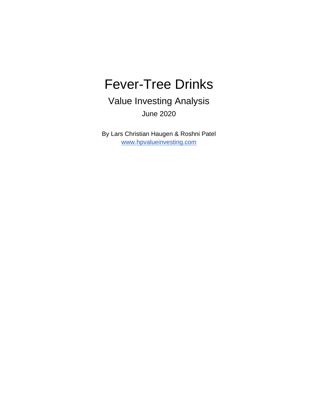# Fever-Tree Drinks

Value Investing Analysis June 2020

By Lars Christian Haugen & Roshni Patel [www.hpvalueinvesting.com](http://www.hpvalueinvesting.com/)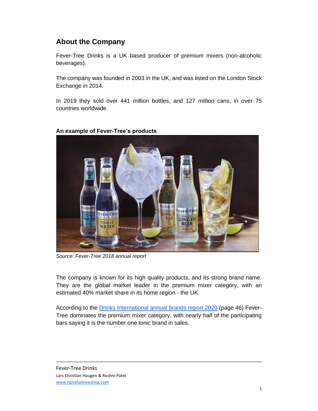# **About the Company**

Fever-Tree Drinks is a UK based producer of premium mixers (non-alcoholic beverages).

The company was founded in 2003 in the UK, and was listed on the London Stock Exchange in 2014.

In 2019 they sold over 441 million bottles, and 127 million cans, in over 75 countries worldwide.



#### **An example of Fever-Tree's products**

*Source: Fever-Tree 2018 annual report*

The company is known for its high quality products, and its strong brand name. They are the global market leader in the premium mixer category, with an estimated 40% market share in its home region - the UK.

According to the [Drinks International annual brands report 2020](http://edition.pagesuite.com/html5/reader/production/default.aspx?pubname=&edid=929b08c3-9ea0-41d6-896d-25f15ec9d463) (page 46) Fever-Tree dominates the premium mixer category, with nearly half of the participating bars saying it is the number one tonic brand in sales.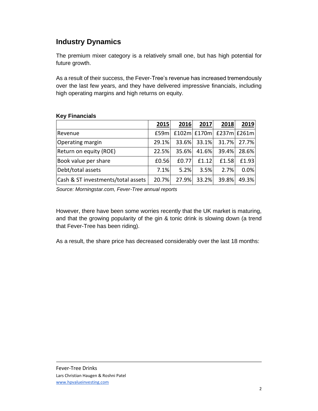# **Industry Dynamics**

The premium mixer category is a relatively small one, but has high potential for future growth.

As a result of their success, the Fever-Tree's revenue has increased tremendously over the last few years, and they have delivered impressive financials, including high operating margins and high returns on equity.

|                                    | 2015  | 2016    | 2017        | 2018                      | 2019        |
|------------------------------------|-------|---------|-------------|---------------------------|-------------|
| Revenue                            | E59m  |         |             | £102m $E170m$ £237m £261m |             |
| Operating margin                   | 29.1% |         | 33.6% 33.1% |                           | 31.7% 27.7% |
| Return on equity (ROE)             | 22.5% |         | 35.6% 41.6% |                           | 39.4% 28.6% |
| Book value per share               | £0.56 | £0.77   | f1.12       | £1.58                     | £1.93       |
| Debt/total assets                  | 7.1%  | $5.2\%$ | 3.5%        | 2.7%                      | 0.0%        |
| Cash & ST investments/total assets | 20.7% | 27.9%   | 33.2%       | 39.8%                     | 49.3%       |

#### **Key Financials**

*Source: Morningstar.com, Fever-Tree annual reports*

However, there have been some worries recently that the UK market is maturing, and that the growing popularity of the gin & tonic drink is slowing down (a trend that Fever-Tree has been riding).

As a result, the share price has decreased considerably over the last 18 months: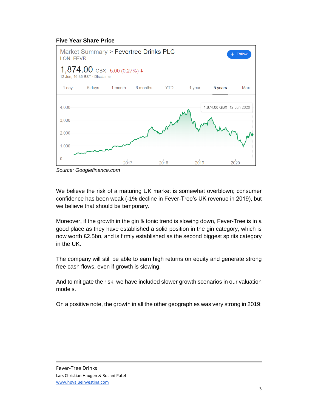#### **Five Year Share Price**



*Source: Googlefinance.com*

We believe the risk of a maturing UK market is somewhat overblown; consumer confidence has been weak (-1% decline in Fever-Tree's UK revenue in 2019), but we believe that should be temporary.

Moreover, if the growth in the gin & tonic trend is slowing down, Fever-Tree is in a good place as they have established a solid position in the gin category, which is now worth £2.5bn, and is firmly established as the second biggest spirits category in the UK.

The company will still be able to earn high returns on equity and generate strong free cash flows, even if growth is slowing.

And to mitigate the risk, we have included slower growth scenarios in our valuation models.

On a positive note, the growth in all the other geographies was very strong in 2019: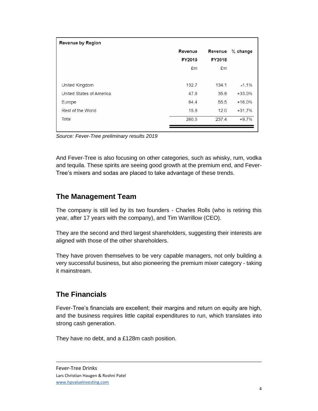| <b>Revenue by Region</b> |         |         |            |
|--------------------------|---------|---------|------------|
|                          | Revenue | Revenue | $%$ change |
|                          | FY2019  | FY2018  |            |
|                          | £m      | £m      |            |
| United Kingdom           | 132.7   | 134.1   | $-1.1%$    |
| United States of America | 47.6    | 35.8    | $+33.0%$   |
| Europe                   | 64.4    | 55.5    | $+16.0%$   |
| Rest of the World        | 15.8    | 12.0    | $+31.7%$   |
| Total                    | 260.5   | 237.4   | $+9.7%$    |
|                          |         |         |            |

*Source: Fever-Tree preliminary results 2019*

And Fever-Tree is also focusing on other categories, such as whisky, rum, vodka and tequila. These spirits are seeing good growth at the premium end, and Fever-Tree's mixers and sodas are placed to take advantage of these trends.

## **The Management Team**

The company is still led by its two founders - Charles Rolls (who is retiring this year, after 17 years with the company), and Tim Warrillow (CEO).

They are the second and third largest shareholders, suggesting their interests are aligned with those of the other shareholders.

They have proven themselves to be very capable managers, not only building a very successful business, but also pioneering the premium mixer category - taking it mainstream.

### **The Financials**

Fever-Tree's financials are excellent; their margins and return on equity are high, and the business requires little capital expenditures to run, which translates into strong cash generation.

They have no debt, and a £128m cash position.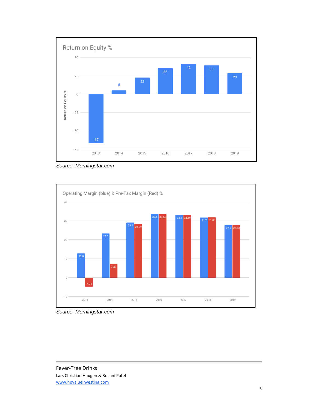

*Source: Morningstar.com*



*Source: Morningstar.com*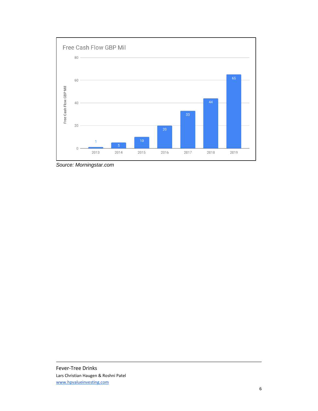

*Source: Morningstar.com*